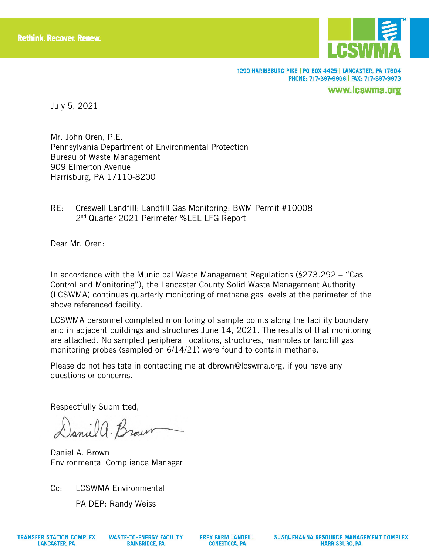

1299 HARRISBURG PIKE | PO BOX 4425 | LANCASTER, PA 17604 PHONE: 717-397-9968 | FAX: 717-397-9973

www.lcswma.org

July 5, 2021

Mr. John Oren, P.E. Pennsylvania Department of Environmental Protection Bureau of Waste Management 909 Elmerton Avenue Harrisburg, PA 17110-8200

RE: Creswell Landfill; Landfill Gas Monitoring; BWM Permit #10008 2<sup>nd</sup> Quarter 2021 Perimeter %LEL LFG Report

Dear Mr. Oren:

In accordance with the Municipal Waste Management Regulations (§273.292 – "Gas Control and Monitoring"), the Lancaster County Solid Waste Management Authority (LCSWMA) continues quarterly monitoring of methane gas levels at the perimeter of the above referenced facility.

LCSWMA personnel completed monitoring of sample points along the facility boundary and in adjacent buildings and structures June 14, 2021. The results of that monitoring are attached. No sampled peripheral locations, structures, manholes or landfill gas monitoring probes (sampled on 6/14/21) were found to contain methane.

Please do not hesitate in contacting me at dbrown@lcswma.org, if you have any questions or concerns.

Respectfully Submitted,

Daniel a. Brown

Daniel A. Brown Environmental Compliance Manager

Cc: LCSWMA Environmental

PA DEP: Randy Weiss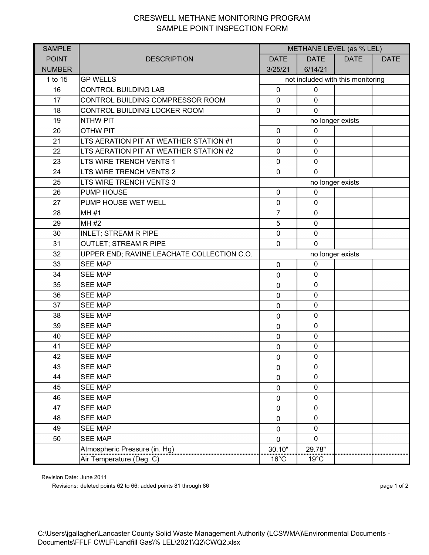## CRESWELL METHANE MONITORING PROGRAM SAMPLE POINT INSPECTION FORM

| <b>SAMPLE</b> |                                            | METHANE LEVEL (as % LEL)          |                |             |             |  |
|---------------|--------------------------------------------|-----------------------------------|----------------|-------------|-------------|--|
| <b>POINT</b>  | <b>DESCRIPTION</b>                         | <b>DATE</b>                       | <b>DATE</b>    | <b>DATE</b> | <b>DATE</b> |  |
| <b>NUMBER</b> |                                            | 3/25/21                           | 6/14/21        |             |             |  |
| 1 to 15       | <b>GP WELLS</b>                            | not included with this monitoring |                |             |             |  |
| 16            | <b>CONTROL BUILDING LAB</b>                | $\mathbf 0$                       | 0              |             |             |  |
| 17            | CONTROL BUILDING COMPRESSOR ROOM           | $\mathbf 0$                       | $\mathbf 0$    |             |             |  |
| 18            | CONTROL BUILDING LOCKER ROOM               | $\mathbf 0$                       | $\mathbf 0$    |             |             |  |
| 19            | <b>NTHW PIT</b>                            | no longer exists                  |                |             |             |  |
| 20            | <b>OTHW PIT</b>                            | $\mathbf 0$                       | $\mathbf 0$    |             |             |  |
| 21            | LTS AERATION PIT AT WEATHER STATION #1     | $\mathbf 0$                       | $\mathbf 0$    |             |             |  |
| 22            | LTS AERATION PIT AT WEATHER STATION #2     | $\mathbf 0$                       | $\mathbf 0$    |             |             |  |
| 23            | LTS WIRE TRENCH VENTS 1                    | $\mathbf 0$                       | $\mathbf 0$    |             |             |  |
| 24            | LTS WIRE TRENCH VENTS 2                    | $\mathbf 0$                       | $\mathbf{0}$   |             |             |  |
| 25            | LTS WIRE TRENCH VENTS 3                    | no longer exists                  |                |             |             |  |
| 26            | <b>PUMP HOUSE</b>                          | $\mathbf 0$                       | $\mathbf 0$    |             |             |  |
| 27            | PUMP HOUSE WET WELL                        | $\pmb{0}$                         | $\mathbf 0$    |             |             |  |
| 28            | <b>MH#1</b>                                | $\overline{7}$                    | $\mathbf 0$    |             |             |  |
| 29            | MH #2                                      | 5                                 | $\mathbf 0$    |             |             |  |
| 30            | <b>INLET; STREAM R PIPE</b>                | $\mathbf 0$                       | $\mathbf 0$    |             |             |  |
| 31            | <b>OUTLET; STREAM R PIPE</b>               | $\mathbf 0$                       | $\mathbf{0}$   |             |             |  |
| 32            | UPPER END; RAVINE LEACHATE COLLECTION C.O. | no longer exists                  |                |             |             |  |
| 33            | <b>SEE MAP</b>                             | $\mathbf 0$                       | $\mathbf 0$    |             |             |  |
| 34            | <b>SEE MAP</b>                             | 0                                 | $\mathbf 0$    |             |             |  |
| 35            | <b>SEE MAP</b>                             | 0                                 | $\mathbf 0$    |             |             |  |
| 36            | <b>SEE MAP</b>                             | $\mathbf 0$                       | $\mathbf 0$    |             |             |  |
| 37            | <b>SEE MAP</b>                             | 0                                 | $\mathbf 0$    |             |             |  |
| 38            | <b>SEE MAP</b>                             | $\mathbf 0$                       | $\mathbf 0$    |             |             |  |
| 39            | <b>SEE MAP</b>                             | $\mathbf 0$                       | $\mathbf 0$    |             |             |  |
| 40            | <b>SEE MAP</b>                             | $\mathbf 0$                       | $\mathbf 0$    |             |             |  |
| 41            | <b>SEE MAP</b>                             | $\pmb{0}$                         | $\mathbf 0$    |             |             |  |
| 42            | <b>SEE MAP</b>                             | $\pmb{0}$                         | $\pmb{0}$      |             |             |  |
| 43            | <b>SEE MAP</b>                             | 0                                 | $\mathbf 0$    |             |             |  |
| 44            | <b>SEE MAP</b>                             | 0                                 | 0              |             |             |  |
| 45            | <b>SEE MAP</b>                             | $\mathbf 0$                       | $\pmb{0}$      |             |             |  |
| 46            | <b>SEE MAP</b>                             | $\mathbf 0$                       | $\mathbf 0$    |             |             |  |
| 47            | <b>SEE MAP</b>                             | $\mathbf 0$                       | $\pmb{0}$      |             |             |  |
| 48            | <b>SEE MAP</b>                             | 0                                 | $\mathbf 0$    |             |             |  |
| 49            | <b>SEE MAP</b>                             | 0                                 | $\mathbf 0$    |             |             |  |
| 50            | SEE MAP                                    | 0                                 | $\mathbf 0$    |             |             |  |
|               | Atmospheric Pressure (in. Hg)              | 30.10"                            | 29.78"         |             |             |  |
|               | Air Temperature (Deg. C)                   | $16^{\circ}$ C                    | $19^{\circ}$ C |             |             |  |

Revision Date: June 2011

Revisions: deleted points 62 to 66; added points 81 through 86 page 1 of 2